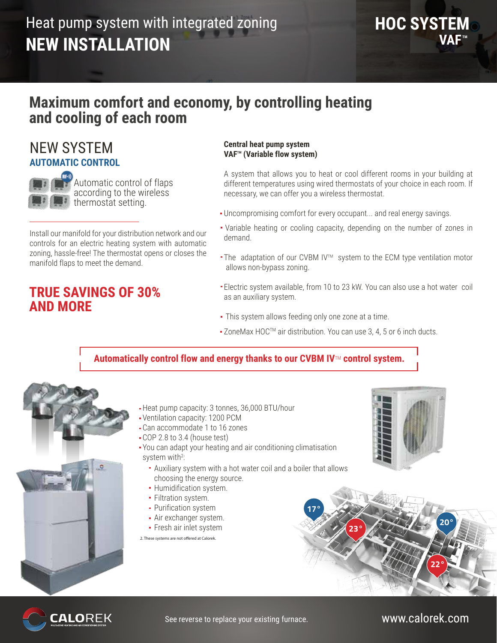# Heat pump system with integrated zoning **HOC SYSTE NEW INSTALLATION**

# **Maximum comfort and economy, by controlling heating and cooling of each room**

## NEW SYSTEM **AUTOMATIC CONTROL**



Automatic control of flaps according to the wireless thermostat setting.

Install our manifold for your distribution network and our controls for an electric heating system with automatic zoning, hassle-free! The thermostat opens or closes the manifold flaps to meet the demand.

## **TRUE SAVINGS OF 30% AND MORE**

### **Central heat pump system**  VAF<sup>™</sup> (Variable flow system)

A system that allows you to heat or cool different rooms in your building at different temperatures using wired thermostats of your choice in each room. If necessary, we can offer you a wireless thermostat.

- Uncompromising comfort for every occupant... and real energy savings.
- Variable heating or cooling capacity, depending on the number of zones in demand.
- The adaptation of our CVBM IV™ system to the ECM type ventilation motor allows non-bypass zoning.
- Electric system available, from 10 to 23 kW. You can also use a hot water coil as an auxiliary system.
- This system allows feeding only one zone at a time.
- ZoneMax HOC<sup>™</sup> air distribution. You can use 3, 4, 5 or 6 inch ducts.

## **Automatically control flow and energy thanks to our CVBM IV™ control system.**



CALOREK

- Heat pump capacity: 3 tonnes, 36,000 BTU/hour
- Ventilation capacity: 1200 PCM
- Can accommodate 1 to 16 zones
- COP 2.8 to 3.4 (house test)
- You can adapt your heating and air conditioning climatisation system with<sup>2</sup>:
	- Auxiliary system with a hot water coil and a boiler that allows choosing the energy source.
	- **Humidification system.**
	- **Filtration system.**
	- **Purification system**
	- Air exchanger system.
	- Fresh air inlet system

2. These systems are not offered at Calorek





## www.calorek.com